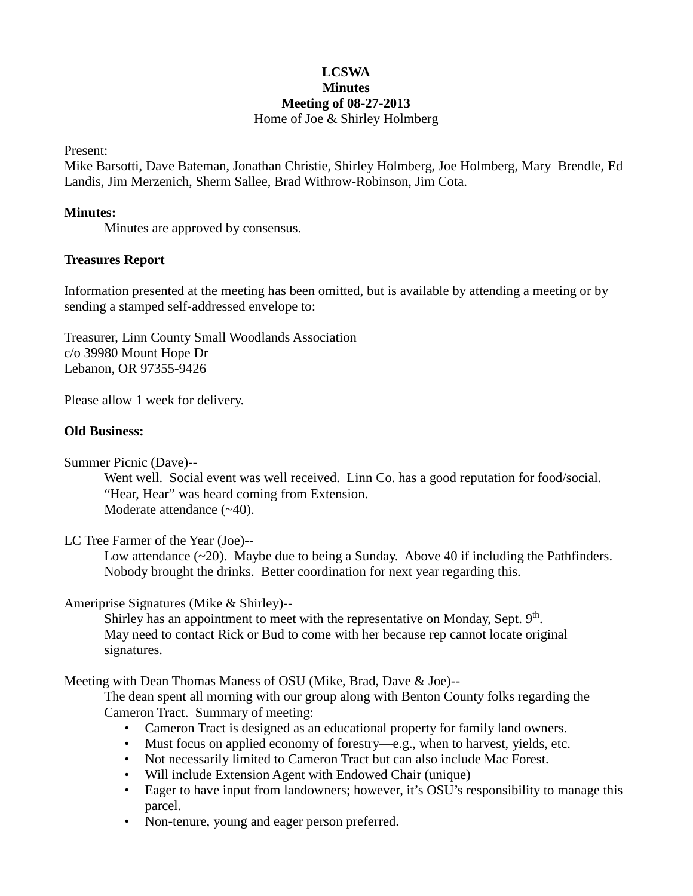# **LCSWA Minutes Meeting of 08-27-2013** Home of Joe & Shirley Holmberg

Present:

Mike Barsotti, Dave Bateman, Jonathan Christie, Shirley Holmberg, Joe Holmberg, Mary Brendle, Ed Landis, Jim Merzenich, Sherm Sallee, Brad Withrow-Robinson, Jim Cota.

#### **Minutes:**

Minutes are approved by consensus.

### **Treasures Report**

Information presented at the meeting has been omitted, but is available by attending a meeting or by sending a stamped self-addressed envelope to:

Treasurer, Linn County Small Woodlands Association c/o 39980 Mount Hope Dr Lebanon, OR 97355-9426

Please allow 1 week for delivery.

### **Old Business:**

Summer Picnic (Dave)--

Went well. Social event was well received. Linn Co. has a good reputation for food/social. "Hear, Hear" was heard coming from Extension. Moderate attendance  $(-40)$ .

## LC Tree Farmer of the Year (Joe)--

Low attendance  $(\sim 20)$ . Maybe due to being a Sunday. Above 40 if including the Pathfinders. Nobody brought the drinks. Better coordination for next year regarding this.

Ameriprise Signatures (Mike & Shirley)--

Shirley has an appointment to meet with the representative on Monday, Sept.  $9<sup>th</sup>$ . May need to contact Rick or Bud to come with her because rep cannot locate original signatures.

Meeting with Dean Thomas Maness of OSU (Mike, Brad, Dave & Joe)--

The dean spent all morning with our group along with Benton County folks regarding the Cameron Tract. Summary of meeting:

- Cameron Tract is designed as an educational property for family land owners.
- Must focus on applied economy of forestry—e.g., when to harvest, yields, etc.
- Not necessarily limited to Cameron Tract but can also include Mac Forest.
- Will include Extension Agent with Endowed Chair (unique)
- Eager to have input from landowners; however, it's OSU's responsibility to manage this parcel.
- Non-tenure, young and eager person preferred.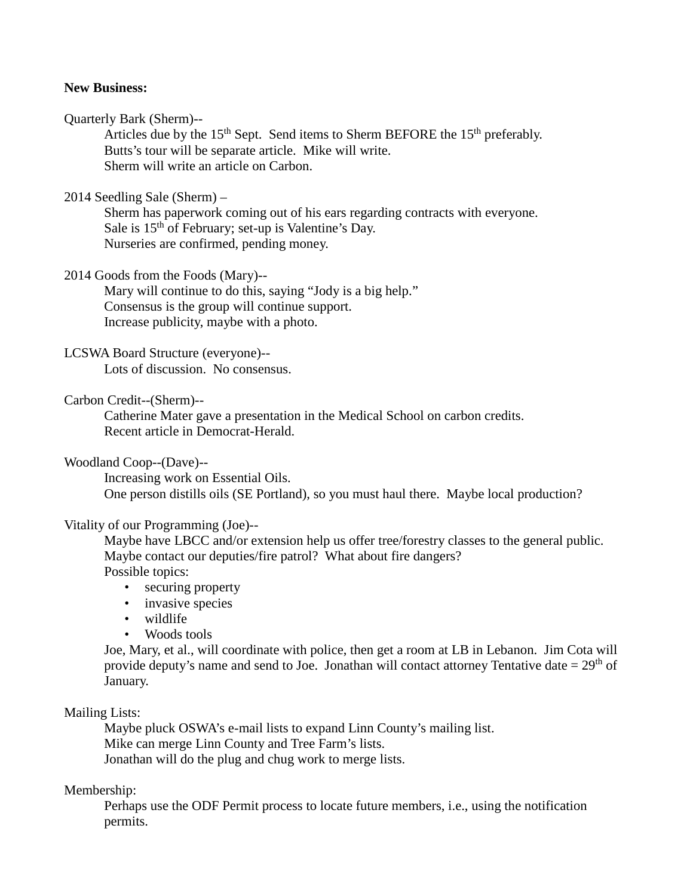## **New Business:**

#### Quarterly Bark (Sherm)--

Articles due by the  $15<sup>th</sup>$  Sept. Send items to Sherm BEFORE the  $15<sup>th</sup>$  preferably. Butts's tour will be separate article. Mike will write. Sherm will write an article on Carbon.

#### 2014 Seedling Sale (Sherm) –

Sherm has paperwork coming out of his ears regarding contracts with everyone. Sale is 15<sup>th</sup> of February; set-up is Valentine's Day. Nurseries are confirmed, pending money.

### 2014 Goods from the Foods (Mary)--

Mary will continue to do this, saying "Jody is a big help." Consensus is the group will continue support. Increase publicity, maybe with a photo.

### LCSWA Board Structure (everyone)--

Lots of discussion. No consensus.

#### Carbon Credit--(Sherm)--

Catherine Mater gave a presentation in the Medical School on carbon credits. Recent article in Democrat-Herald.

#### Woodland Coop--(Dave)--

Increasing work on Essential Oils. One person distills oils (SE Portland), so you must haul there. Maybe local production?

#### Vitality of our Programming (Joe)--

Maybe have LBCC and/or extension help us offer tree/forestry classes to the general public. Maybe contact our deputies/fire patrol? What about fire dangers? Possible topics:

- securing property
- invasive species
- wildlife
- Woods tools

Joe, Mary, et al., will coordinate with police, then get a room at LB in Lebanon. Jim Cota will provide deputy's name and send to Joe. Jonathan will contact attorney Tentative date  $= 29<sup>th</sup>$  of January.

#### Mailing Lists:

Maybe pluck OSWA's e-mail lists to expand Linn County's mailing list. Mike can merge Linn County and Tree Farm's lists. Jonathan will do the plug and chug work to merge lists.

## Membership:

Perhaps use the ODF Permit process to locate future members, i.e., using the notification permits.